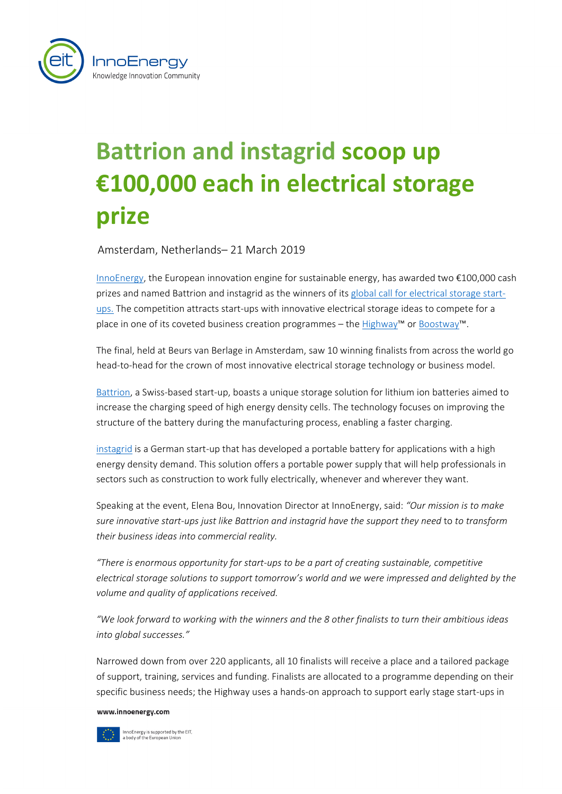

## **Battrion and instagrid scoop up €100,000 each in electrical storage prize**

Amsterdam, Netherlands– 21 March 2019

[InnoEnergy,](http://www.innoenergy.com/) the European innovation engine for sustainable energy, has awarded two €100,000 cash prizes and named Battrion and instagrid as the winners of its [global call for electrical](https://electricalstorage.innoenergy.com/) storage start[ups.](https://electricalstorage.innoenergy.com/) The competition attracts start-ups with innovative electrical storage ideas to compete for a place in one of its coveted [business creation programmes –](http://www.innoenergy.com/bcs/innoenergy-highway/) the Highway™ o[r Boostway™](https://bc.innoenergy.com/for-scale-ups/).

The final, held at Beurs van Berlage in Amsterdam, saw 10 winning finalists from across the world go head-to-head for the crown of most innovative electrical storage technology or business model.

[Battrion,](http://www.battrion.com/) a Swiss-based start-up, boasts a unique storage solution for lithium ion batteries aimed to increase the charging speed of high energy density cells. The technology focuses on improving the structure of the battery during the manufacturing process, enabling a faster charging.

[instagrid](https://instagrid.co/) is a German start-up that has developed a portable battery for applications with a high energy density demand. This solution offers a portable power supply that will help professionals in sectors such as construction to work fully electrically, whenever and wherever they want.

Speaking at the event, Elena Bou, Innovation Director at InnoEnergy, said: *"Our mission is to make sure innovative start-ups just like Battrion and instagrid have the support they need* to *to transform their business ideas into commercial reality.* 

*"There is enormous opportunity for start-ups to be a part of creating sustainable, competitive electrical storage solutions to support tomorrow's world and we were impressed and delighted by the volume and quality of applications received.*

*"We look forward to working with the winners and the 8 other finalists to turn their ambitious ideas into global successes."*

Narrowed down from over 220 applicants, all 10 finalists will receive a place and a tailored package of support, training, services and funding. Finalists are allocated to a programme depending on their specific business needs; the Highway uses a hands-on approach to support early stage start-ups in

www.innoenergy.com



InnoEnergy is supported by the EIT,<br>a body of the European Union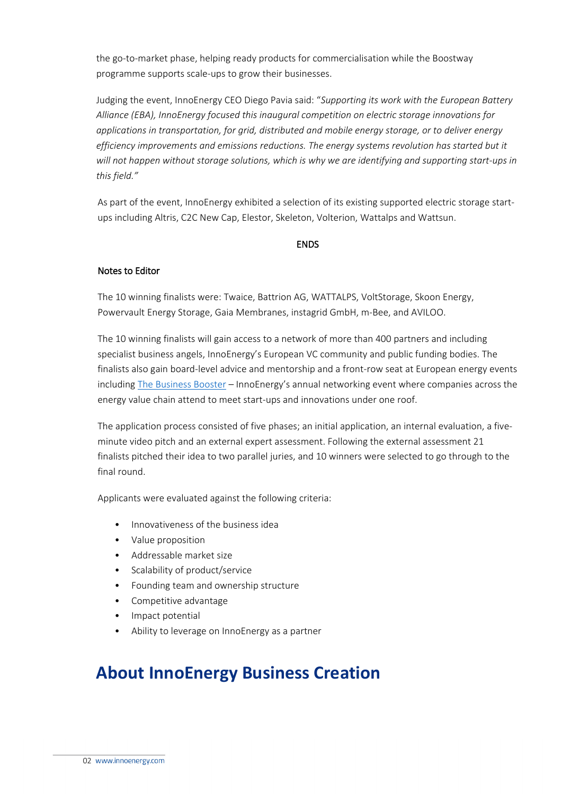the go-to-market phase, helping ready products for commercialisation while the Boostway programme supports scale-ups to grow their businesses.

Judging the event, InnoEnergy CEO Diego Pavia said: "*Supporting its work with the European Battery Alliance (EBA), InnoEnergy focused this inaugural competition on electric storage innovations for applications in transportation, for grid, distributed and mobile energy storage, or to deliver energy efficiency improvements and emissions reductions. The energy systems revolution has started but it will not happen without storage solutions, which is why we are identifying and supporting start-ups in this field."*

As part of the event, InnoEnergy exhibited a selection of its existing supported electric storage startups including Altris, C2C New Cap, Elestor, Skeleton, Volterion, Wattalps and Wattsun.

## **ENDS**

## Notes to Editor

The 10 winning finalists were: Twaice, Battrion AG, WATTALPS, VoltStorage, Skoon Energy, Powervault Energy Storage, Gaia Membranes, instagrid GmbH, m-Bee, and AVILOO.

The 10 winning finalists will gain access to a network of more than 400 partners and including specialist business angels, InnoEnergy's European VC community and public funding bodies. The finalists also gain board-level advice and mentorship and a front-row seat at European energy events including [The Business Booster](https://tbb.innoenergy.com/) - InnoEnergy's annual networking event where companies across the energy value chain attend to meet start-ups and innovations under one roof.

The application process consisted of five phases; an initial application, an internal evaluation, a fiveminute video pitch and an external expert assessment. Following the external assessment 21 finalists pitched their idea to two parallel juries, and 10 winners were selected to go through to the final round.

Applicants were evaluated against the following criteria:

- Innovativeness of the business idea
- Value proposition
- Addressable market size
- Scalability of product/service
- Founding team and ownership structure
- Competitive advantage
- Impact potential
- Ability to leverage on InnoEnergy as a partner

## **About InnoEnergy Business Creation**